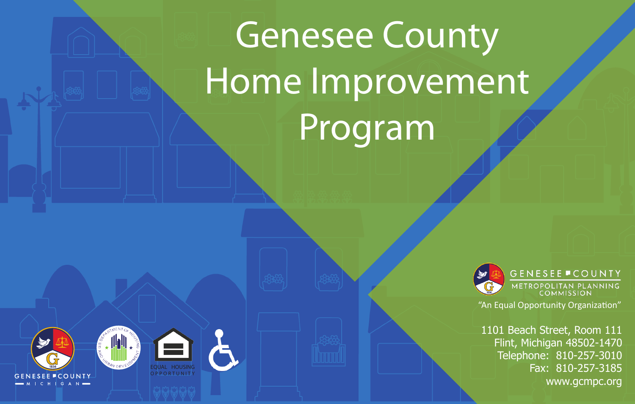# Genesee County Home Improvement Program



**GENESEE COUNTY** METROPOLITAN PLANNING "An Equal Opportunity Organization"

1101 Beach Street, Room 111 Flint, Michigan 48502-1470 Telephone: 810-257-3010 Fax: 810-257-3185 www.gcmpc.org